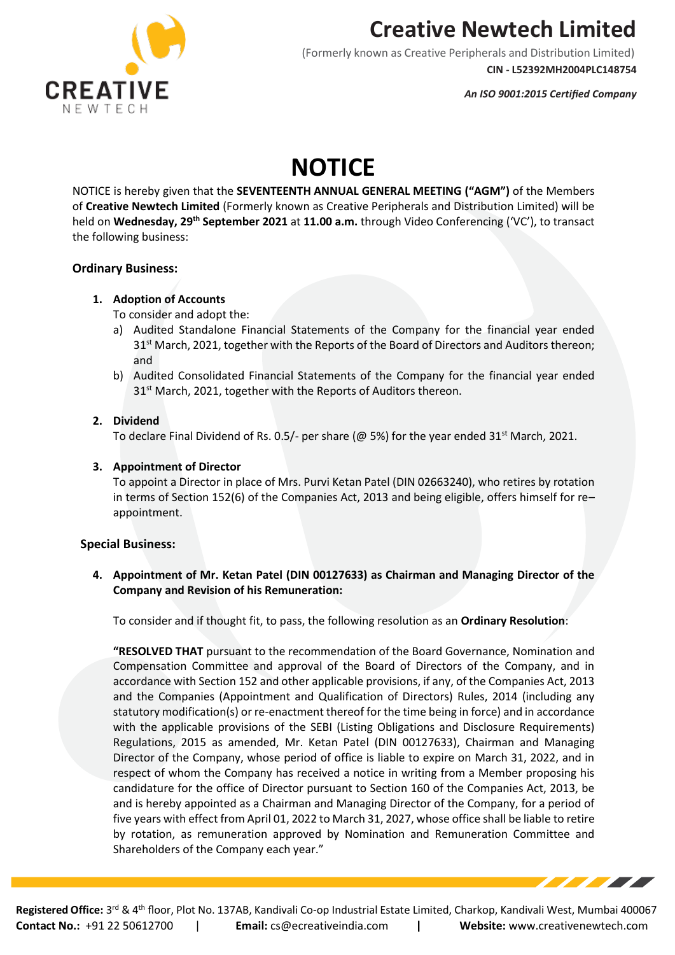

(Formerly known as Creative Peripherals and Distribution Limited) **CIN - L52392MH2004PLC148754**

*An ISO 9001:2015 Certified Company*

# **NOTICE**

NOTICE is hereby given that the **SEVENTEENTH ANNUAL GENERAL MEETING ("AGM")** of the Members of **Creative Newtech Limited** (Formerly known as Creative Peripherals and Distribution Limited) will be held on **Wednesday, 29th September 2021** at **11.00 a.m.** through Video Conferencing ('VC'), to transact the following business:

### **Ordinary Business:**

#### **1. Adoption of Accounts**

To consider and adopt the:

- a) Audited Standalone Financial Statements of the Company for the financial year ended  $31<sup>st</sup>$  March, 2021, together with the Reports of the Board of Directors and Auditors thereon; and
- b) Audited Consolidated Financial Statements of the Company for the financial year ended 31<sup>st</sup> March, 2021, together with the Reports of Auditors thereon.

#### **2. Dividend**

To declare Final Dividend of Rs. 0.5/- per share (@ 5%) for the year ended  $31<sup>st</sup>$  March, 2021.

### **3. Appointment of Director**

To appoint a Director in place of Mrs. Purvi Ketan Patel (DIN 02663240), who retires by rotation in terms of Section 152(6) of the Companies Act, 2013 and being eligible, offers himself for re– appointment.

### **Special Business:**

**4. Appointment of Mr. Ketan Patel (DIN 00127633) as Chairman and Managing Director of the Company and Revision of his Remuneration:**

To consider and if thought fit, to pass, the following resolution as an **Ordinary Resolution**:

**"RESOLVED THAT** pursuant to the recommendation of the Board Governance, Nomination and Compensation Committee and approval of the Board of Directors of the Company, and in accordance with Section 152 and other applicable provisions, if any, of the Companies Act, 2013 and the Companies (Appointment and Qualification of Directors) Rules, 2014 (including any statutory modification(s) or re-enactment thereof for the time being in force) and in accordance with the applicable provisions of the SEBI (Listing Obligations and Disclosure Requirements) Regulations, 2015 as amended, Mr. Ketan Patel (DIN 00127633), Chairman and Managing Director of the Company, whose period of office is liable to expire on March 31, 2022, and in respect of whom the Company has received a notice in writing from a Member proposing his candidature for the office of Director pursuant to Section 160 of the Companies Act, 2013, be and is hereby appointed as a Chairman and Managing Director of the Company, for a period of five years with effect from April 01, 2022 to March 31, 2027, whose office shall be liable to retire by rotation, as remuneration approved by Nomination and Remuneration Committee and Shareholders of the Company each year."

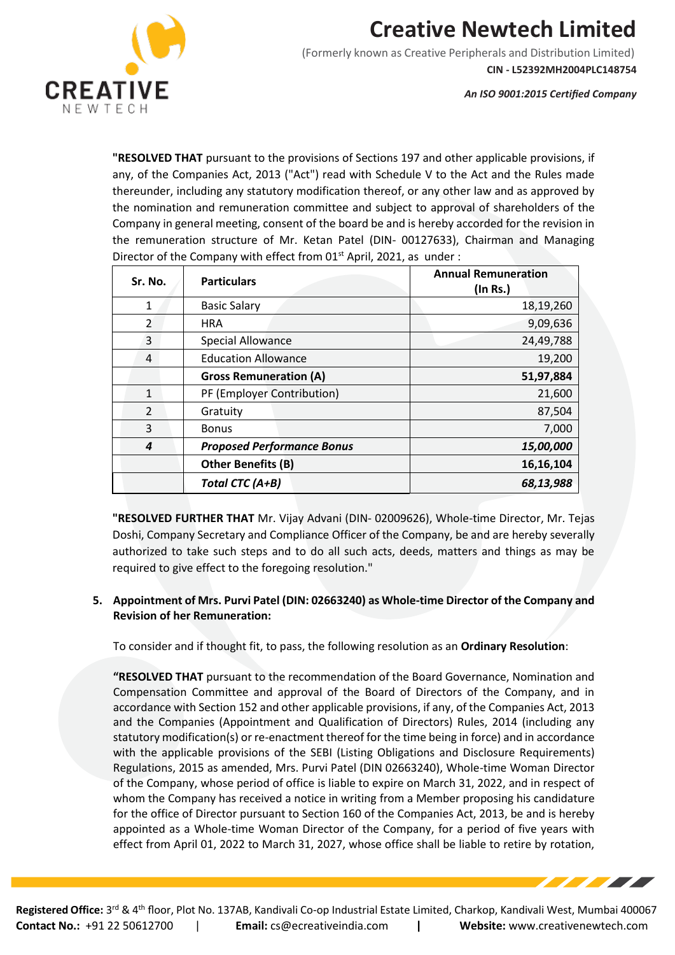

(Formerly known as Creative Peripherals and Distribution Limited) **CIN - L52392MH2004PLC148754**

*An ISO 9001:2015 Certified Company*

**The Second Second Second Second Second** 

**"RESOLVED THAT** pursuant to the provisions of Sections 197 and other applicable provisions, if any, of the Companies Act, 2013 ("Act") read with Schedule V to the Act and the Rules made thereunder, including any statutory modification thereof, or any other law and as approved by the nomination and remuneration committee and subject to approval of shareholders of the Company in general meeting, consent of the board be and is hereby accorded for the revision in the remuneration structure of Mr. Ketan Patel (DIN- 00127633), Chairman and Managing Director of the Company with effect from 01<sup>st</sup> April, 2021, as under :

| Sr. No.        | <b>Particulars</b>                | <b>Annual Remuneration</b><br>$($ ln Rs. $)$ |
|----------------|-----------------------------------|----------------------------------------------|
| $\mathbf{1}$   | <b>Basic Salary</b>               | 18,19,260                                    |
| $\overline{2}$ | <b>HRA</b>                        | 9,09,636                                     |
| 3              | <b>Special Allowance</b>          | 24,49,788                                    |
| 4              | <b>Education Allowance</b>        | 19,200                                       |
|                | <b>Gross Remuneration (A)</b>     | 51,97,884                                    |
| $\mathbf{1}$   | PF (Employer Contribution)        | 21,600                                       |
| $\mathcal{L}$  | Gratuity                          | 87,504                                       |
| 3              | <b>Bonus</b>                      | 7,000                                        |
| 4              | <b>Proposed Performance Bonus</b> | 15,00,000                                    |
|                | <b>Other Benefits (B)</b>         | 16,16,104                                    |
|                | Total CTC (A+B)                   | 68,13,988                                    |

**"RESOLVED FURTHER THAT** Mr. Vijay Advani (DIN- 02009626), Whole-time Director, Mr. Tejas Doshi, Company Secretary and Compliance Officer of the Company, be and are hereby severally authorized to take such steps and to do all such acts, deeds, matters and things as may be required to give effect to the foregoing resolution."

### **5. Appointment of Mrs. Purvi Patel (DIN: 02663240) as Whole-time Director of the Company and Revision of her Remuneration:**

To consider and if thought fit, to pass, the following resolution as an **Ordinary Resolution**:

**"RESOLVED THAT** pursuant to the recommendation of the Board Governance, Nomination and Compensation Committee and approval of the Board of Directors of the Company, and in accordance with Section 152 and other applicable provisions, if any, of the Companies Act, 2013 and the Companies (Appointment and Qualification of Directors) Rules, 2014 (including any statutory modification(s) or re-enactment thereof for the time being in force) and in accordance with the applicable provisions of the SEBI (Listing Obligations and Disclosure Requirements) Regulations, 2015 as amended, Mrs. Purvi Patel (DIN 02663240), Whole-time Woman Director of the Company, whose period of office is liable to expire on March 31, 2022, and in respect of whom the Company has received a notice in writing from a Member proposing his candidature for the office of Director pursuant to Section 160 of the Companies Act, 2013, be and is hereby appointed as a Whole-time Woman Director of the Company, for a period of five years with effect from April 01, 2022 to March 31, 2027, whose office shall be liable to retire by rotation,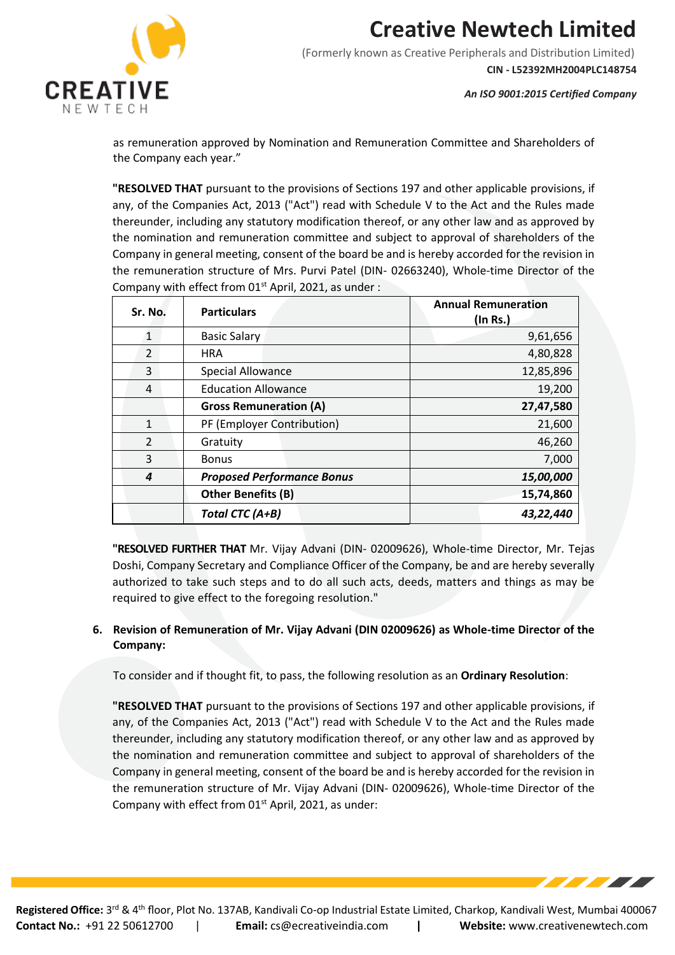

(Formerly known as Creative Peripherals and Distribution Limited) **CIN - L52392MH2004PLC148754**

*An ISO 9001:2015 Certified Company*

**TATION** 

as remuneration approved by Nomination and Remuneration Committee and Shareholders of the Company each year."

**"RESOLVED THAT** pursuant to the provisions of Sections 197 and other applicable provisions, if any, of the Companies Act, 2013 ("Act") read with Schedule V to the Act and the Rules made thereunder, including any statutory modification thereof, or any other law and as approved by the nomination and remuneration committee and subject to approval of shareholders of the Company in general meeting, consent of the board be and is hereby accorded for the revision in the remuneration structure of Mrs. Purvi Patel (DIN- 02663240), Whole-time Director of the Company with effect from 01<sup>st</sup> April, 2021, as under :

| Sr. No.       | <b>Particulars</b>                | <b>Annual Remuneration</b><br>$($ ln Rs. $)$ |
|---------------|-----------------------------------|----------------------------------------------|
| $\mathbf{1}$  | <b>Basic Salary</b>               | 9,61,656                                     |
| 2             | <b>HRA</b>                        | 4,80,828                                     |
| 3             | <b>Special Allowance</b>          | 12,85,896                                    |
| 4             | <b>Education Allowance</b>        | 19,200                                       |
|               | <b>Gross Remuneration (A)</b>     | 27,47,580                                    |
| $\mathbf{1}$  | PF (Employer Contribution)        | 21,600                                       |
| $\mathcal{L}$ | Gratuity                          | 46,260                                       |
| 3             | <b>Bonus</b>                      | 7,000                                        |
| 4             | <b>Proposed Performance Bonus</b> | 15,00,000                                    |
|               | <b>Other Benefits (B)</b>         | 15,74,860                                    |
|               | Total CTC (A+B)                   | 43,22,440                                    |

**"RESOLVED FURTHER THAT** Mr. Vijay Advani (DIN- 02009626), Whole-time Director, Mr. Tejas Doshi, Company Secretary and Compliance Officer of the Company, be and are hereby severally authorized to take such steps and to do all such acts, deeds, matters and things as may be required to give effect to the foregoing resolution."

### **6. Revision of Remuneration of Mr. Vijay Advani (DIN 02009626) as Whole-time Director of the Company:**

To consider and if thought fit, to pass, the following resolution as an **Ordinary Resolution**:

**"RESOLVED THAT** pursuant to the provisions of Sections 197 and other applicable provisions, if any, of the Companies Act, 2013 ("Act") read with Schedule V to the Act and the Rules made thereunder, including any statutory modification thereof, or any other law and as approved by the nomination and remuneration committee and subject to approval of shareholders of the Company in general meeting, consent of the board be and is hereby accorded for the revision in the remuneration structure of Mr. Vijay Advani (DIN- 02009626), Whole-time Director of the Company with effect from  $01<sup>st</sup>$  April, 2021, as under: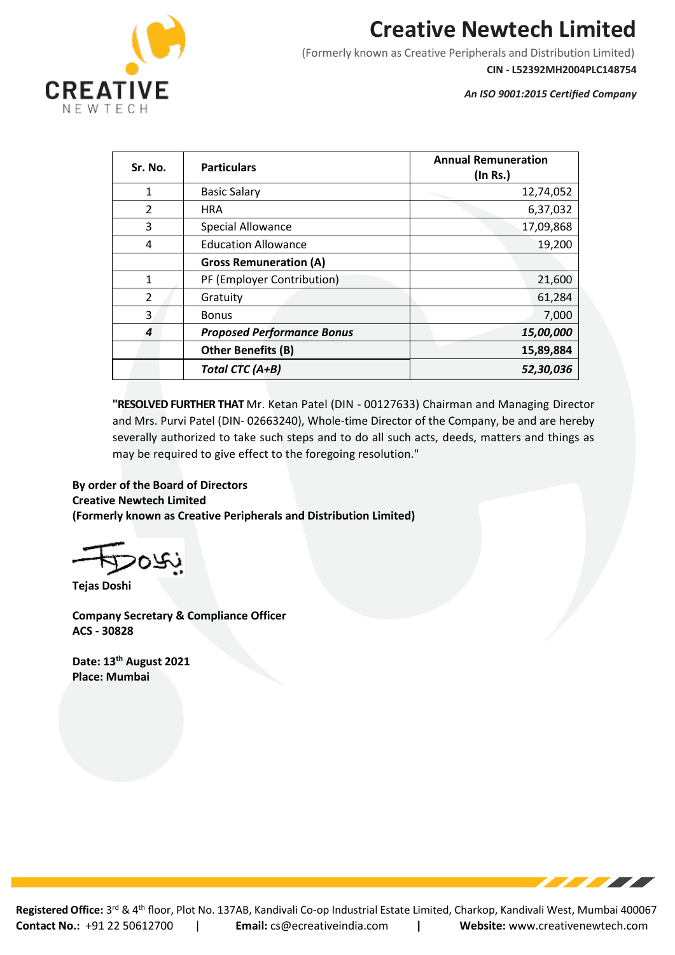

(Formerly known as Creative Peripherals and Distribution Limited)

**CIN - L52392MH2004PLC148754**

*An ISO 9001:2015 Certified Company*

| Sr. No.       | <b>Particulars</b>                | <b>Annual Remuneration</b><br>$($ ln Rs. $)$ |
|---------------|-----------------------------------|----------------------------------------------|
| $\mathbf{1}$  | <b>Basic Salary</b>               | 12,74,052                                    |
| $\mathcal{P}$ | <b>HRA</b>                        | 6,37,032                                     |
| 3             | <b>Special Allowance</b>          | 17,09,868                                    |
| 4             | <b>Education Allowance</b>        | 19,200                                       |
|               | <b>Gross Remuneration (A)</b>     |                                              |
| $\mathbf{1}$  | PF (Employer Contribution)        | 21,600                                       |
| $\mathcal{P}$ | Gratuity                          | 61,284                                       |
| 3             | <b>Bonus</b>                      | 7,000                                        |
| 4             | <b>Proposed Performance Bonus</b> | 15,00,000                                    |
|               | <b>Other Benefits (B)</b>         | 15,89,884                                    |
|               | Total CTC (A+B)                   | 52,30,036                                    |

**"RESOLVED FURTHER THAT** Mr. Ketan Patel (DIN - 00127633) Chairman and Managing Director and Mrs. Purvi Patel (DIN- 02663240), Whole-time Director of the Company, be and are hereby severally authorized to take such steps and to do all such acts, deeds, matters and things as may be required to give effect to the foregoing resolution."

### **By order of the Board of Directors Creative Newtech Limited**

**(Formerly known as Creative Peripherals and Distribution Limited)**

**Tejas Doshi**

**Company Secretary & Compliance Officer ACS - 30828**

**Date: 13th August 2021 Place: Mumbai**

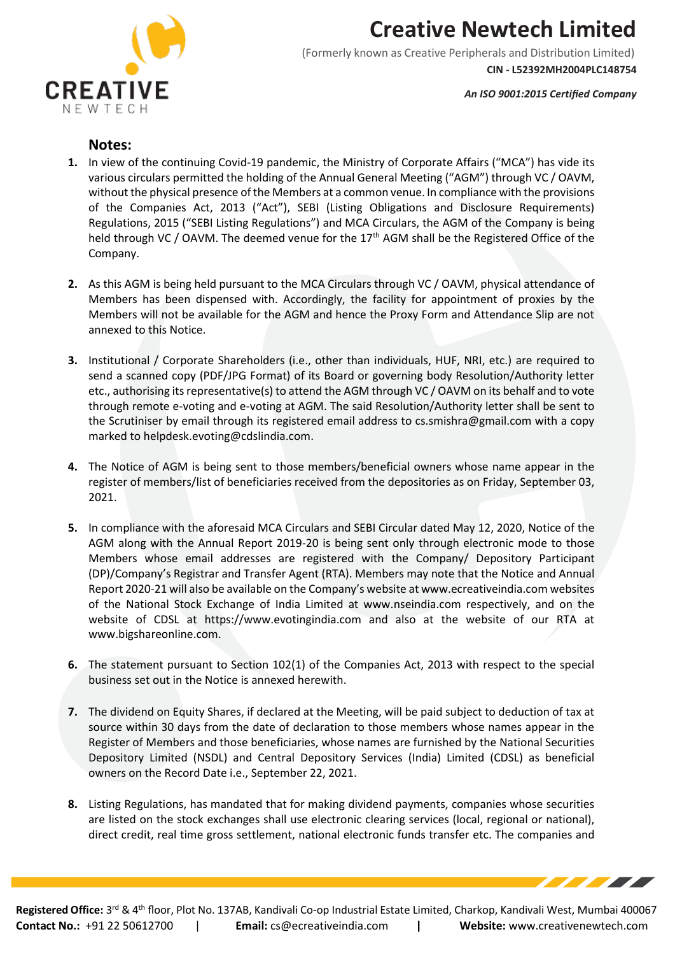

(Formerly known as Creative Peripherals and Distribution Limited) **CIN - L52392MH2004PLC148754**

*An ISO 9001:2015 Certified Company*

**TELEVISION** 

### **Notes:**

- **1.** In view of the continuing Covid-19 pandemic, the Ministry of Corporate Affairs ("MCA") has vide its various circulars permitted the holding of the Annual General Meeting ("AGM") through VC / OAVM, without the physical presence of the Members at a common venue. In compliance with the provisions of the Companies Act, 2013 ("Act"), SEBI (Listing Obligations and Disclosure Requirements) Regulations, 2015 ("SEBI Listing Regulations") and MCA Circulars, the AGM of the Company is being held through VC / OAVM. The deemed venue for the 17<sup>th</sup> AGM shall be the Registered Office of the Company.
- **2.** As this AGM is being held pursuant to the MCA Circulars through VC / OAVM, physical attendance of Members has been dispensed with. Accordingly, the facility for appointment of proxies by the Members will not be available for the AGM and hence the Proxy Form and Attendance Slip are not annexed to this Notice.
- **3.** Institutional / Corporate Shareholders (i.e., other than individuals, HUF, NRI, etc.) are required to send a scanned copy (PDF/JPG Format) of its Board or governing body Resolution/Authority letter etc., authorising its representative(s) to attend the AGM through VC / OAVM on its behalf and to vote through remote e-voting and e-voting at AGM. The said Resolution/Authority letter shall be sent to the Scrutiniser by email through its registered email address to cs.smishra@gmail.com with a copy marked to helpdesk.evoting@cdslindia.com.
- **4.** The Notice of AGM is being sent to those members/beneficial owners whose name appear in the register of members/list of beneficiaries received from the depositories as on Friday, September 03, 2021.
- **5.** In compliance with the aforesaid MCA Circulars and SEBI Circular dated May 12, 2020, Notice of the AGM along with the Annual Report 2019-20 is being sent only through electronic mode to those Members whose email addresses are registered with the Company/ Depository Participant (DP)/Company's Registrar and Transfer Agent (RTA). Members may note that the Notice and Annual Report 2020-21 will also be available on the Company's website at www.ecreativeindia.com websites of the National Stock Exchange of India Limited at www.nseindia.com respectively, and on the website of CDSL at https://www.evotingindia.com and also at the website of our RTA at www.bigshareonline.com.
- **6.** The statement pursuant to Section 102(1) of the Companies Act, 2013 with respect to the special business set out in the Notice is annexed herewith.
- **7.** The dividend on Equity Shares, if declared at the Meeting, will be paid subject to deduction of tax at source within 30 days from the date of declaration to those members whose names appear in the Register of Members and those beneficiaries, whose names are furnished by the National Securities Depository Limited (NSDL) and Central Depository Services (India) Limited (CDSL) as beneficial owners on the Record Date i.e., September 22, 2021.
- **8.** Listing Regulations, has mandated that for making dividend payments, companies whose securities are listed on the stock exchanges shall use electronic clearing services (local, regional or national), direct credit, real time gross settlement, national electronic funds transfer etc. The companies and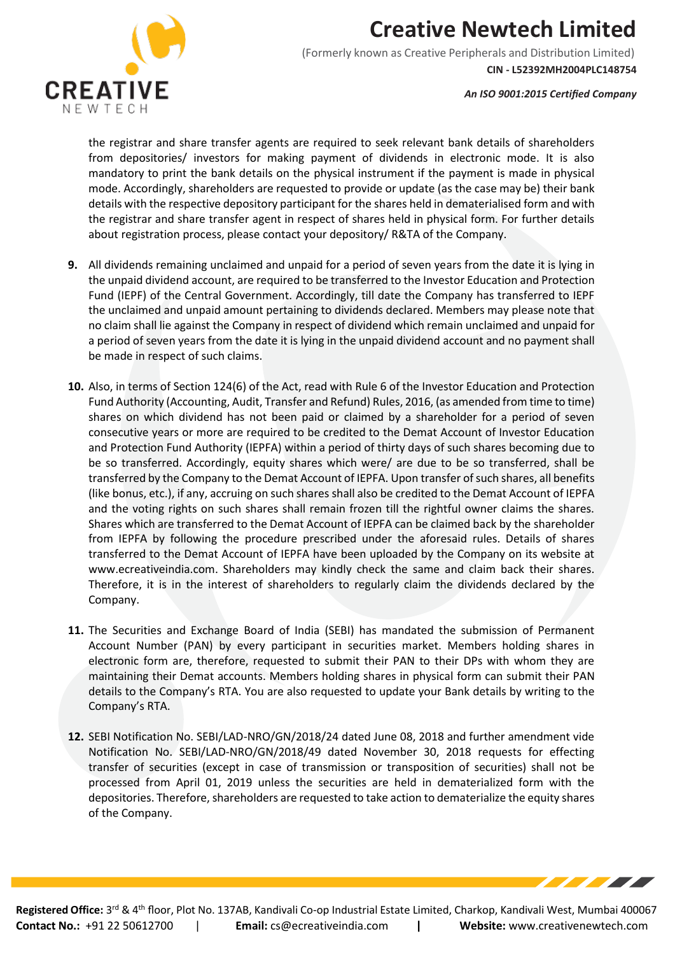

(Formerly known as Creative Peripherals and Distribution Limited) **CIN - L52392MH2004PLC148754**

*An ISO 9001:2015 Certified Company*

the registrar and share transfer agents are required to seek relevant bank details of shareholders from depositories/ investors for making payment of dividends in electronic mode. It is also mandatory to print the bank details on the physical instrument if the payment is made in physical mode. Accordingly, shareholders are requested to provide or update (as the case may be) their bank details with the respective depository participant for the shares held in dematerialised form and with the registrar and share transfer agent in respect of shares held in physical form. For further details about registration process, please contact your depository/ R&TA of the Company.

- **9.** All dividends remaining unclaimed and unpaid for a period of seven years from the date it is lying in the unpaid dividend account, are required to be transferred to the Investor Education and Protection Fund (IEPF) of the Central Government. Accordingly, till date the Company has transferred to IEPF the unclaimed and unpaid amount pertaining to dividends declared. Members may please note that no claim shall lie against the Company in respect of dividend which remain unclaimed and unpaid for a period of seven years from the date it is lying in the unpaid dividend account and no payment shall be made in respect of such claims.
- **10.** Also, in terms of Section 124(6) of the Act, read with Rule 6 of the Investor Education and Protection Fund Authority (Accounting, Audit, Transfer and Refund) Rules, 2016, (as amended from time to time) shares on which dividend has not been paid or claimed by a shareholder for a period of seven consecutive years or more are required to be credited to the Demat Account of Investor Education and Protection Fund Authority (IEPFA) within a period of thirty days of such shares becoming due to be so transferred. Accordingly, equity shares which were/ are due to be so transferred, shall be transferred by the Company to the Demat Account of IEPFA. Upon transfer of such shares, all benefits (like bonus, etc.), if any, accruing on such shares shall also be credited to the Demat Account of IEPFA and the voting rights on such shares shall remain frozen till the rightful owner claims the shares. Shares which are transferred to the Demat Account of IEPFA can be claimed back by the shareholder from IEPFA by following the procedure prescribed under the aforesaid rules. Details of shares transferred to the Demat Account of IEPFA have been uploaded by the Company on its website at www.ecreativeindia.com. Shareholders may kindly check the same and claim back their shares. Therefore, it is in the interest of shareholders to regularly claim the dividends declared by the Company.
- **11.** The Securities and Exchange Board of India (SEBI) has mandated the submission of Permanent Account Number (PAN) by every participant in securities market. Members holding shares in electronic form are, therefore, requested to submit their PAN to their DPs with whom they are maintaining their Demat accounts. Members holding shares in physical form can submit their PAN details to the Company's RTA. You are also requested to update your Bank details by writing to the Company's RTA.
- **12.** SEBI Notification No. SEBI/LAD-NRO/GN/2018/24 dated June 08, 2018 and further amendment vide Notification No. SEBI/LAD-NRO/GN/2018/49 dated November 30, 2018 requests for effecting transfer of securities (except in case of transmission or transposition of securities) shall not be processed from April 01, 2019 unless the securities are held in dematerialized form with the depositories. Therefore, shareholders are requested to take action to dematerialize the equity shares of the Company.

777 T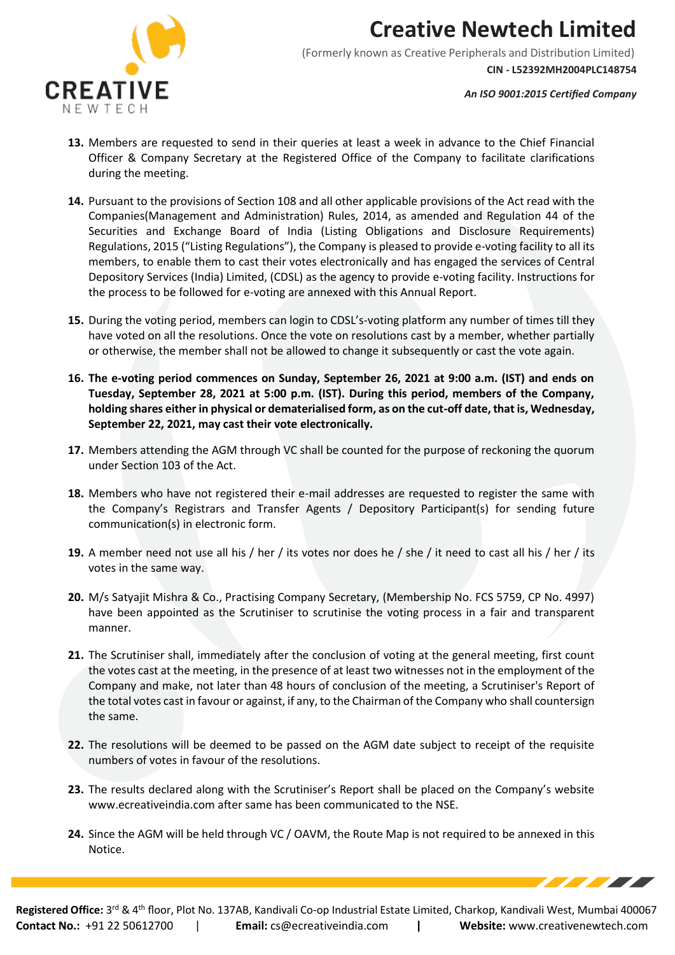

(Formerly known as Creative Peripherals and Distribution Limited) **CIN - L52392MH2004PLC148754**

*An ISO 9001:2015 Certified Company*

<u> The Community of the Community of the Community of the Community of the Community of the Community of the Co</u>

- **13.** Members are requested to send in their queries at least a week in advance to the Chief Financial Officer & Company Secretary at the Registered Office of the Company to facilitate clarifications during the meeting.
- **14.** Pursuant to the provisions of Section 108 and all other applicable provisions of the Act read with the Companies(Management and Administration) Rules, 2014, as amended and Regulation 44 of the Securities and Exchange Board of India (Listing Obligations and Disclosure Requirements) Regulations, 2015 ("Listing Regulations"), the Company is pleased to provide e-voting facility to all its members, to enable them to cast their votes electronically and has engaged the services of Central Depository Services (India) Limited, (CDSL) as the agency to provide e-voting facility. Instructions for the process to be followed for e-voting are annexed with this Annual Report.
- **15.** During the voting period, members can login to CDSL's-voting platform any number of times till they have voted on all the resolutions. Once the vote on resolutions cast by a member, whether partially or otherwise, the member shall not be allowed to change it subsequently or cast the vote again.
- **16. The e-voting period commences on Sunday, September 26, 2021 at 9:00 a.m. (IST) and ends on Tuesday, September 28, 2021 at 5:00 p.m. (IST). During this period, members of the Company, holding shares either in physical or dematerialised form, as on the cut-off date, that is, Wednesday, September 22, 2021, may cast their vote electronically.**
- **17.** Members attending the AGM through VC shall be counted for the purpose of reckoning the quorum under Section 103 of the Act.
- **18.** Members who have not registered their e-mail addresses are requested to register the same with the Company's Registrars and Transfer Agents / Depository Participant(s) for sending future communication(s) in electronic form.
- **19.** A member need not use all his / her / its votes nor does he / she / it need to cast all his / her / its votes in the same way.
- **20.** M/s Satyajit Mishra & Co., Practising Company Secretary, (Membership No. FCS 5759, CP No. 4997) have been appointed as the Scrutiniser to scrutinise the voting process in a fair and transparent manner.
- **21.** The Scrutiniser shall, immediately after the conclusion of voting at the general meeting, first count the votes cast at the meeting, in the presence of at least two witnesses not in the employment of the Company and make, not later than 48 hours of conclusion of the meeting, a Scrutiniser's Report of the total votes cast in favour or against, if any, to the Chairman of the Company who shall countersign the same.
- **22.** The resolutions will be deemed to be passed on the AGM date subject to receipt of the requisite numbers of votes in favour of the resolutions.
- **23.** The results declared along with the Scrutiniser's Report shall be placed on the Company's website www.ecreativeindia.com after same has been communicated to the NSE.
- **24.** Since the AGM will be held through VC / OAVM, the Route Map is not required to be annexed in this Notice.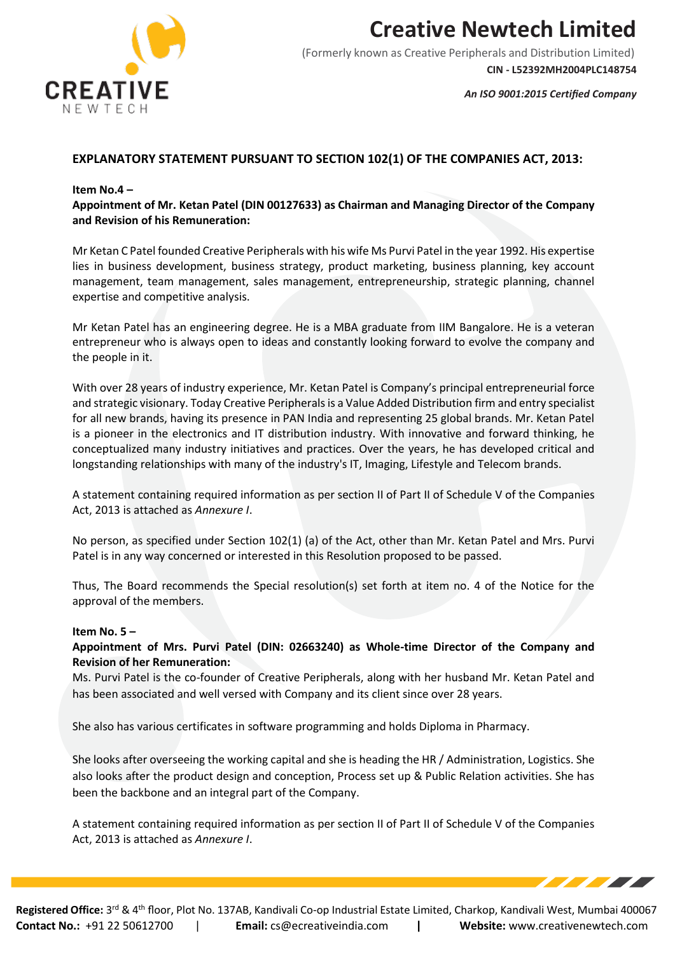

(Formerly known as Creative Peripherals and Distribution Limited) **CIN - L52392MH2004PLC148754**

*An ISO 9001:2015 Certified Company*

<u> The Books of the Books of the Books of the Books of the Books of the Books of the Books of the Books of the </u>

### **EXPLANATORY STATEMENT PURSUANT TO SECTION 102(1) OF THE COMPANIES ACT, 2013:**

#### **Item No.4 –**

**Appointment of Mr. Ketan Patel (DIN 00127633) as Chairman and Managing Director of the Company and Revision of his Remuneration:**

Mr Ketan C Patel founded Creative Peripherals with his wife Ms Purvi Patel in the year 1992. His expertise lies in business development, business strategy, product marketing, business planning, key account management, team management, sales management, entrepreneurship, strategic planning, channel expertise and competitive analysis.

Mr Ketan Patel has an engineering degree. He is a MBA graduate from IIM Bangalore. He is a veteran entrepreneur who is always open to ideas and constantly looking forward to evolve the company and the people in it.

With over 28 years of industry experience, Mr. Ketan Patel is Company's principal entrepreneurial force and strategic visionary. Today Creative Peripherals is a Value Added Distribution firm and entry specialist for all new brands, having its presence in PAN India and representing 25 global brands. Mr. Ketan Patel is a pioneer in the electronics and IT distribution industry. With innovative and forward thinking, he conceptualized many industry initiatives and practices. Over the years, he has developed critical and longstanding relationships with many of the industry's IT, Imaging, Lifestyle and Telecom brands.

A statement containing required information as per section II of Part II of Schedule V of the Companies Act, 2013 is attached as *Annexure I*.

No person, as specified under Section 102(1) (a) of the Act, other than Mr. Ketan Patel and Mrs. Purvi Patel is in any way concerned or interested in this Resolution proposed to be passed.

Thus, The Board recommends the Special resolution(s) set forth at item no. 4 of the Notice for the approval of the members.

#### **Item No. 5 –**

**Appointment of Mrs. Purvi Patel (DIN: 02663240) as Whole-time Director of the Company and Revision of her Remuneration:**

Ms. Purvi Patel is the co-founder of Creative Peripherals, along with her husband Mr. Ketan Patel and has been associated and well versed with Company and its client since over 28 years.

She also has various certificates in software programming and holds Diploma in Pharmacy.

She looks after overseeing the working capital and she is heading the HR / Administration, Logistics. She also looks after the product design and conception, Process set up & Public Relation activities. She has been the backbone and an integral part of the Company.

A statement containing required information as per section II of Part II of Schedule V of the Companies Act, 2013 is attached as *Annexure I*.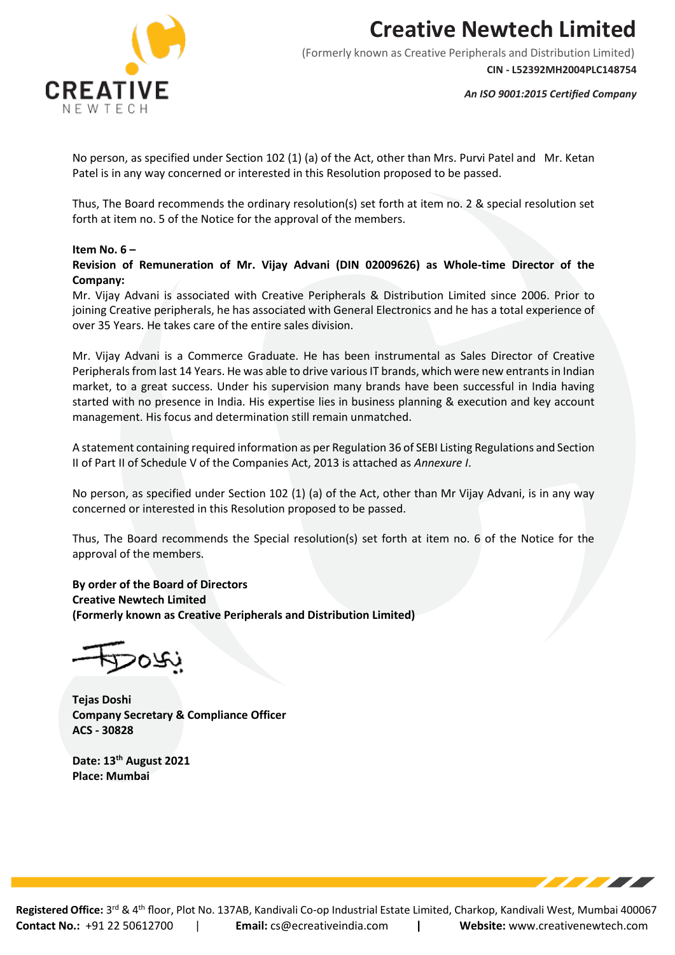

(Formerly known as Creative Peripherals and Distribution Limited) **CIN - L52392MH2004PLC148754**

*An ISO 9001:2015 Certified Company*

**STATISTICS** 

No person, as specified under Section 102 (1) (a) of the Act, other than Mrs. Purvi Patel and Mr. Ketan Patel is in any way concerned or interested in this Resolution proposed to be passed.

Thus, The Board recommends the ordinary resolution(s) set forth at item no. 2 & special resolution set forth at item no. 5 of the Notice for the approval of the members.

#### **Item No. 6 –**

**Revision of Remuneration of Mr. Vijay Advani (DIN 02009626) as Whole-time Director of the Company:**

Mr. Vijay Advani is associated with Creative Peripherals & Distribution Limited since 2006. Prior to joining Creative peripherals, he has associated with General Electronics and he has a total experience of over 35 Years. He takes care of the entire sales division.

Mr. Vijay Advani is a Commerce Graduate. He has been instrumental as Sales Director of Creative Peripherals from last 14 Years. He was able to drive various IT brands, which were new entrants in Indian market, to a great success. Under his supervision many brands have been successful in India having started with no presence in India. His expertise lies in business planning & execution and key account management. His focus and determination still remain unmatched.

A statement containing required information as per Regulation 36 of SEBI Listing Regulations and Section II of Part II of Schedule V of the Companies Act, 2013 is attached as *Annexure I*.

No person, as specified under Section 102 (1) (a) of the Act, other than Mr Vijay Advani, is in any way concerned or interested in this Resolution proposed to be passed.

Thus, The Board recommends the Special resolution(s) set forth at item no. 6 of the Notice for the approval of the members.

**By order of the Board of Directors Creative Newtech Limited (Formerly known as Creative Peripherals and Distribution Limited)**

,07C

**Tejas Doshi Company Secretary & Compliance Officer ACS - 30828**

**Date: 13th August 2021 Place: Mumbai**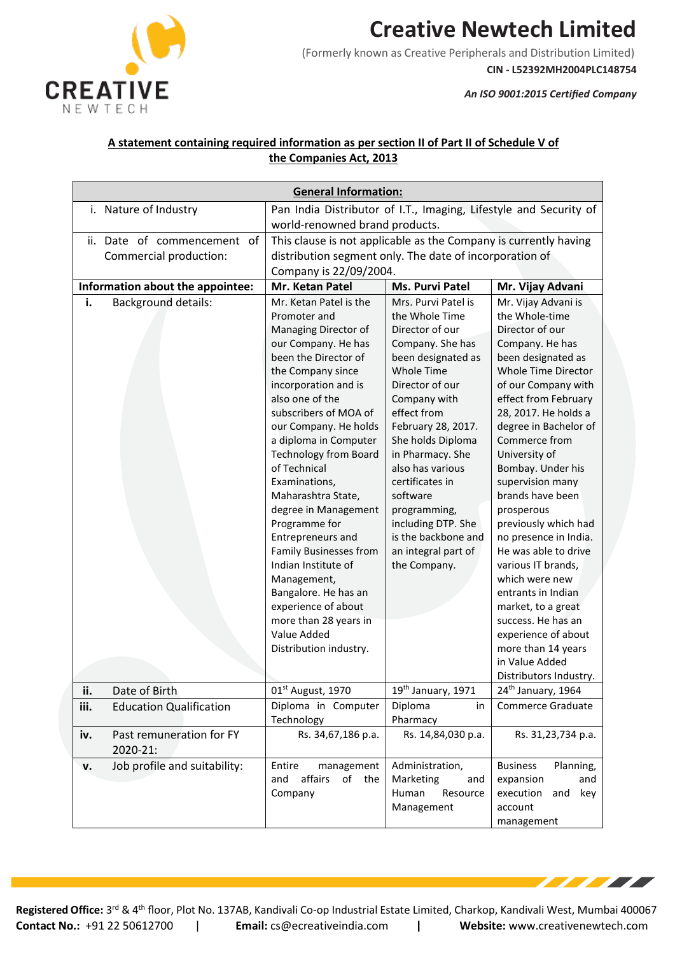

(Formerly known as Creative Peripherals and Distribution Limited)

**CIN - L52392MH2004PLC148754**

**TELESCOPE** 

*An ISO 9001:2015 Certified Company*

### **A statement containing required information as per section II of Part II of Schedule V of the Companies Act, 2013**

| <b>General Information:</b> |                                      |                                                                   |                                            |                                               |
|-----------------------------|--------------------------------------|-------------------------------------------------------------------|--------------------------------------------|-----------------------------------------------|
| i. Nature of Industry       |                                      | Pan India Distributor of I.T., Imaging, Lifestyle and Security of |                                            |                                               |
|                             |                                      | world-renowned brand products.                                    |                                            |                                               |
|                             | ii. Date of commencement<br>0f       | This clause is not applicable as the Company is currently having  |                                            |                                               |
|                             | Commercial production:               | distribution segment only. The date of incorporation of           |                                            |                                               |
|                             |                                      | Company is 22/09/2004.                                            |                                            |                                               |
|                             | Information about the appointee:     | Mr. Ketan Patel                                                   | Ms. Purvi Patel                            | Mr. Vijay Advani                              |
| i.                          | <b>Background details:</b>           | Mr. Ketan Patel is the                                            | Mrs. Purvi Patel is                        | Mr. Vijay Advani is                           |
|                             |                                      | Promoter and                                                      | the Whole Time                             | the Whole-time                                |
|                             |                                      | Managing Director of                                              | Director of our                            | Director of our                               |
|                             |                                      | our Company. He has                                               | Company. She has                           | Company. He has                               |
|                             |                                      | been the Director of                                              | been designated as                         | been designated as                            |
|                             |                                      | the Company since<br>incorporation and is                         | <b>Whole Time</b><br>Director of our       | Whole Time Director<br>of our Company with    |
|                             |                                      | also one of the                                                   | Company with                               | effect from February                          |
|                             |                                      | subscribers of MOA of                                             | effect from                                | 28, 2017. He holds a                          |
|                             |                                      | our Company. He holds                                             | February 28, 2017.                         | degree in Bachelor of                         |
|                             |                                      | a diploma in Computer                                             | She holds Diploma                          | Commerce from                                 |
|                             |                                      | <b>Technology from Board</b>                                      | in Pharmacy. She                           | University of                                 |
|                             |                                      | of Technical                                                      | also has various                           | Bombay. Under his                             |
|                             |                                      | Examinations,                                                     | certificates in                            | supervision many                              |
|                             |                                      | Maharashtra State,                                                | software                                   | brands have been                              |
|                             |                                      | degree in Management                                              | programming,                               | prosperous                                    |
|                             |                                      | Programme for                                                     | including DTP. She                         | previously which had                          |
|                             |                                      | Entrepreneurs and<br>Family Businesses from                       | is the backbone and<br>an integral part of | no presence in India.<br>He was able to drive |
|                             |                                      | Indian Institute of                                               | the Company.                               | various IT brands,                            |
|                             |                                      | Management,                                                       |                                            | which were new                                |
|                             |                                      | Bangalore. He has an                                              |                                            | entrants in Indian                            |
|                             |                                      | experience of about                                               |                                            | market, to a great                            |
|                             |                                      | more than 28 years in                                             |                                            | success. He has an                            |
|                             |                                      | Value Added                                                       |                                            | experience of about                           |
|                             |                                      | Distribution industry.                                            |                                            | more than 14 years                            |
|                             |                                      |                                                                   |                                            | in Value Added                                |
|                             |                                      |                                                                   |                                            | Distributors Industry.                        |
| ii.                         | Date of Birth                        | 01st August, 1970                                                 | 19th January, 1971                         | 24 <sup>th</sup> January, 1964                |
| iii.                        | <b>Education Qualification</b>       | Diploma in Computer<br>Technology                                 | Diploma<br>in.<br>Pharmacy                 | Commerce Graduate                             |
| iv.                         | Past remuneration for FY<br>2020-21: | Rs. 34,67,186 p.a.                                                | Rs. 14,84,030 p.a.                         | Rs. 31,23,734 p.a.                            |
| v.                          | Job profile and suitability:         | Entire<br>management                                              | Administration,                            | <b>Business</b><br>Planning,                  |
|                             |                                      | and<br>affairs<br>of the                                          | Marketing<br>and                           | expansion<br>and                              |
|                             |                                      | Company                                                           | Resource<br>Human                          | execution<br>and<br>key                       |
|                             |                                      |                                                                   | Management                                 | account                                       |
|                             |                                      |                                                                   |                                            | management                                    |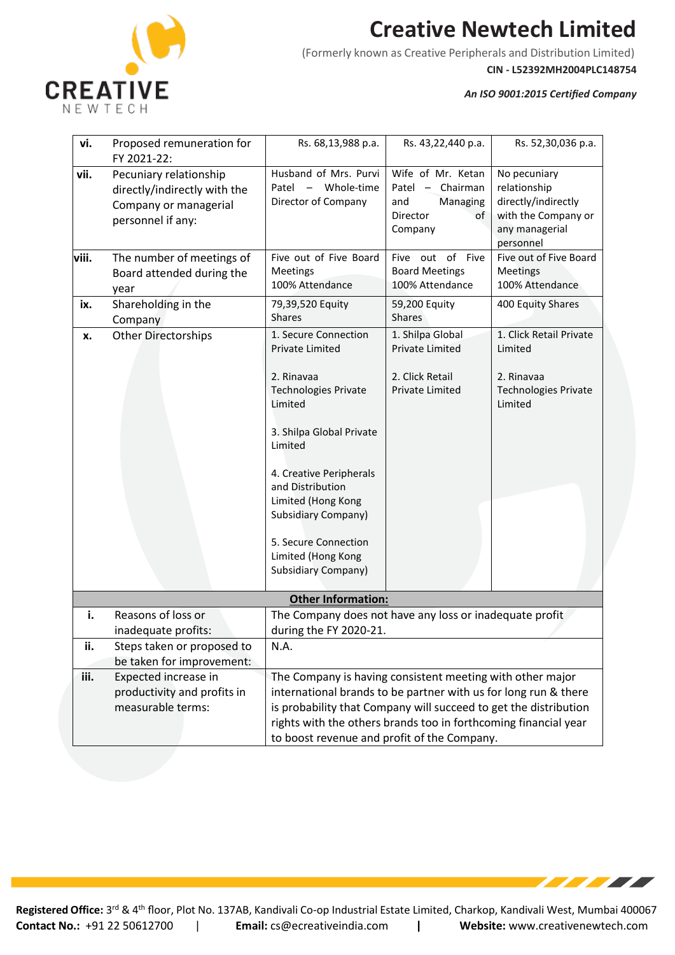

(Formerly known as Creative Peripherals and Distribution Limited)

**CIN - L52392MH2004PLC148754**

**TEAC** 

*An ISO 9001:2015 Certified Company*

| vi.   | Proposed remuneration for<br>FY 2021-22:                                                             | Rs. 68,13,988 p.a.                                                                                                                                                                                                                                                                                                    | Rs. 43,22,440 p.a.                                                                      | Rs. 52,30,036 p.a.                                                                                        |
|-------|------------------------------------------------------------------------------------------------------|-----------------------------------------------------------------------------------------------------------------------------------------------------------------------------------------------------------------------------------------------------------------------------------------------------------------------|-----------------------------------------------------------------------------------------|-----------------------------------------------------------------------------------------------------------|
| vii.  | Pecuniary relationship<br>directly/indirectly with the<br>Company or managerial<br>personnel if any: | Husband of Mrs. Purvi<br>Patel - Whole-time<br>Director of Company                                                                                                                                                                                                                                                    | Wife of Mr. Ketan<br>Patel $-$ Chairman<br>and<br>Managing<br>Director<br>of<br>Company | No pecuniary<br>relationship<br>directly/indirectly<br>with the Company or<br>any managerial<br>personnel |
| viii. | The number of meetings of<br>Board attended during the<br>year                                       | Five out of Five Board<br>Meetings<br>100% Attendance                                                                                                                                                                                                                                                                 | Five out of Five<br><b>Board Meetings</b><br>100% Attendance                            | Five out of Five Board<br><b>Meetings</b><br>100% Attendance                                              |
| ix.   | Shareholding in the<br>Company                                                                       | 79,39,520 Equity<br><b>Shares</b>                                                                                                                                                                                                                                                                                     | 59,200 Equity<br><b>Shares</b>                                                          | 400 Equity Shares                                                                                         |
| x.    | <b>Other Directorships</b>                                                                           | 1. Secure Connection<br>Private Limited<br>2. Rinavaa<br><b>Technologies Private</b><br>Limited<br>3. Shilpa Global Private<br>Limited<br>4. Creative Peripherals<br>and Distribution<br>Limited (Hong Kong<br><b>Subsidiary Company)</b><br>5. Secure Connection<br>Limited (Hong Kong<br><b>Subsidiary Company)</b> | 1. Shilpa Global<br>Private Limited<br>2. Click Retail<br><b>Private Limited</b>        | 1. Click Retail Private<br>Limited<br>2. Rinavaa<br><b>Technologies Private</b><br>Limited                |
|       |                                                                                                      | <b>Other Information:</b>                                                                                                                                                                                                                                                                                             |                                                                                         |                                                                                                           |
| i.    | Reasons of loss or<br>inadequate profits:                                                            | The Company does not have any loss or inadequate profit<br>during the FY 2020-21.                                                                                                                                                                                                                                     |                                                                                         |                                                                                                           |
| ii.   | Steps taken or proposed to<br>be taken for improvement:                                              | N.A.                                                                                                                                                                                                                                                                                                                  |                                                                                         |                                                                                                           |
| iii.  | Expected increase in<br>productivity and profits in<br>measurable terms:                             | The Company is having consistent meeting with other major<br>international brands to be partner with us for long run & there<br>is probability that Company will succeed to get the distribution<br>rights with the others brands too in forthcoming financial year<br>to boost revenue and profit of the Company.    |                                                                                         |                                                                                                           |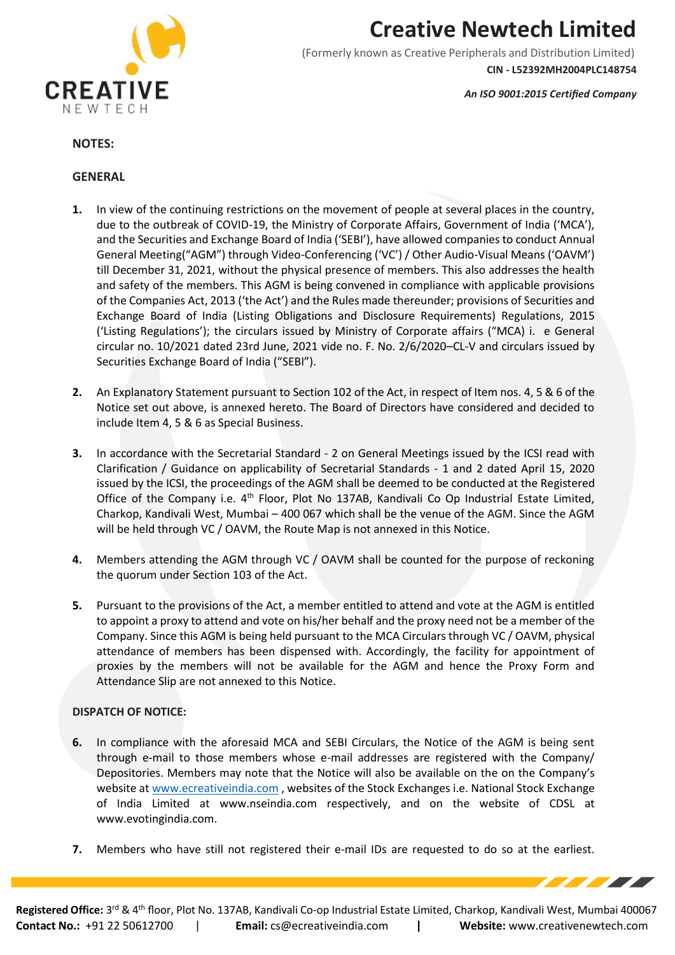

(Formerly known as Creative Peripherals and Distribution Limited) **CIN - L52392MH2004PLC148754**

*An ISO 9001:2015 Certified Company*

#### **NOTES:**

#### **GENERAL**

- **1.** In view of the continuing restrictions on the movement of people at several places in the country, due to the outbreak of COVID-19, the Ministry of Corporate Affairs, Government of India ('MCA'), and the Securities and Exchange Board of India ('SEBI'), have allowed companies to conduct Annual General Meeting("AGM") through Video-Conferencing ('VC') / Other Audio-Visual Means ('OAVM') till December 31, 2021, without the physical presence of members. This also addresses the health and safety of the members. This AGM is being convened in compliance with applicable provisions of the Companies Act, 2013 ('the Act') and the Rules made thereunder; provisions of Securities and Exchange Board of India (Listing Obligations and Disclosure Requirements) Regulations, 2015 ('Listing Regulations'); the circulars issued by Ministry of Corporate affairs ("MCA) i. e General circular no. 10/2021 dated 23rd June, 2021 vide no. F. No. 2/6/2020–CL-V and circulars issued by Securities Exchange Board of India ("SEBI").
- **2.** An Explanatory Statement pursuant to Section 102 of the Act, in respect of Item nos. 4, 5 & 6 of the Notice set out above, is annexed hereto. The Board of Directors have considered and decided to include Item 4, 5 & 6 as Special Business.
- **3.** In accordance with the Secretarial Standard 2 on General Meetings issued by the ICSI read with Clarification / Guidance on applicability of Secretarial Standards - 1 and 2 dated April 15, 2020 issued by the ICSI, the proceedings of the AGM shall be deemed to be conducted at the Registered Office of the Company i.e. 4<sup>th</sup> Floor, Plot No 137AB, Kandivali Co Op Industrial Estate Limited, Charkop, Kandivali West, Mumbai – 400 067 which shall be the venue of the AGM. Since the AGM will be held through VC / OAVM, the Route Map is not annexed in this Notice.
- **4.** Members attending the AGM through VC / OAVM shall be counted for the purpose of reckoning the quorum under Section 103 of the Act.
- **5.** Pursuant to the provisions of the Act, a member entitled to attend and vote at the AGM is entitled to appoint a proxy to attend and vote on his/her behalf and the proxy need not be a member of the Company. Since this AGM is being held pursuant to the MCA Circulars through VC / OAVM, physical attendance of members has been dispensed with. Accordingly, the facility for appointment of proxies by the members will not be available for the AGM and hence the Proxy Form and Attendance Slip are not annexed to this Notice.

#### **DISPATCH OF NOTICE:**

- **6.** In compliance with the aforesaid MCA and SEBI Circulars, the Notice of the AGM is being sent through e-mail to those members whose e-mail addresses are registered with the Company/ Depositories. Members may note that the Notice will also be available on the on the Company's website at [www.ecreativeindia.com](http://www.ecreativeindia.com/) , websites of the Stock Exchanges i.e. National Stock Exchange of India Limited at [www.nseindia.com](http://www.nseindia.com/) respectively, and on the website of CDSL at [www.evotingindia.com.](http://www.evotingindia.com/)
- **7.** Members who have still not registered their e-mail IDs are requested to do so at the earliest.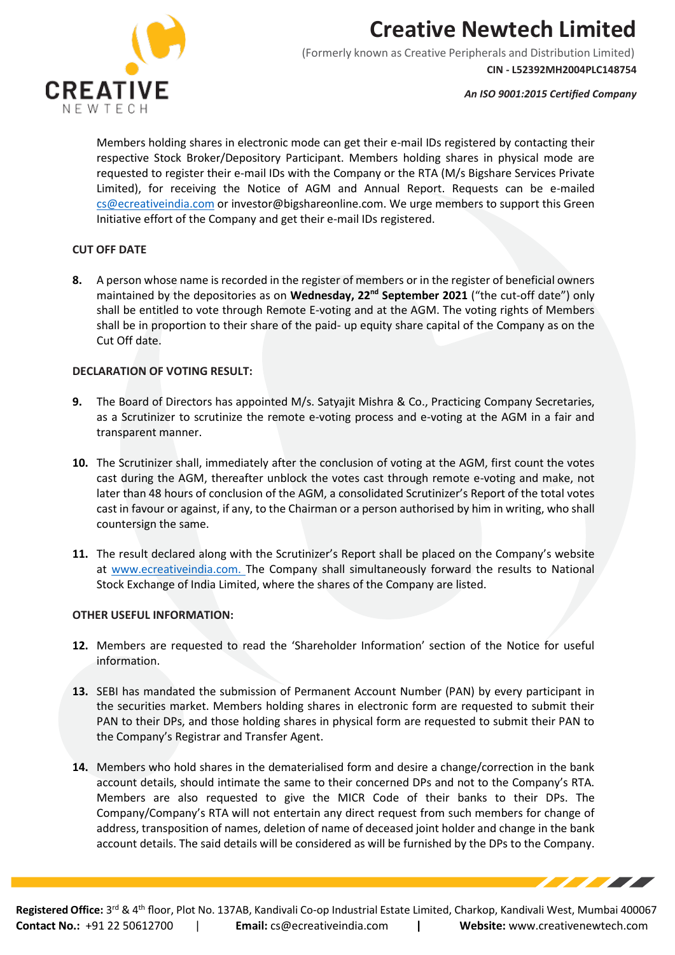

(Formerly known as Creative Peripherals and Distribution Limited) **CIN - L52392MH2004PLC148754**

*An ISO 9001:2015 Certified Company*

Members holding shares in electronic mode can get their e-mail IDs registered by contacting their respective Stock Broker/Depository Participant. Members holding shares in physical mode are requested to register their e-mail IDs with the Company or the RTA (M/s Bigshare Services Private Limited), for receiving the Notice of AGM and Annual Report. Requests can be e-mailed [cs@ecreativeindia.com](mailto:cs@ecreativeindia.com) or [investor@bigshareonline.com.](mailto:investor@bigshareonline.com) We urge members to support this Green Initiative effort of the Company and get their e-mail IDs registered.

### **CUT OFF DATE**

**8.** A person whose name is recorded in the register of members or in the register of beneficial owners maintained by the depositories as on **Wednesday, 22nd September 2021** ("the cut-off date") only shall be entitled to vote through Remote E-voting and at the AGM. The voting rights of Members shall be in proportion to their share of the paid- up equity share capital of the Company as on the Cut Off date.

#### **DECLARATION OF VOTING RESULT:**

- **9.** The Board of Directors has appointed M/s. Satyajit Mishra & Co., Practicing Company Secretaries, as a Scrutinizer to scrutinize the remote e-voting process and e-voting at the AGM in a fair and transparent manner.
- **10.** The Scrutinizer shall, immediately after the conclusion of voting at the AGM, first count the votes cast during the AGM, thereafter unblock the votes cast through remote e-voting and make, not later than 48 hours of conclusion of the AGM, a consolidated Scrutinizer's Report of the total votes cast in favour or against, if any, to the Chairman or a person authorised by him in writing, who shall countersign the same.
- **11.** The result declared along with the Scrutinizer's Report shall be placed on the Company's website at www.ecreativeindia.com. The Company shall simultaneously forward the results to National Stock Exchange of India Limited, where the shares of the Company are listed.

### **OTHER USEFUL INFORMATION:**

- **12.** Members are requested to read the 'Shareholder Information' section of the Notice for useful information.
- **13.** SEBI has mandated the submission of Permanent Account Number (PAN) by every participant in the securities market. Members holding shares in electronic form are requested to submit their PAN to their DPs, and those holding shares in physical form are requested to submit their PAN to the Company's Registrar and Transfer Agent.
- **14.** Members who hold shares in the dematerialised form and desire a change/correction in the bank account details, should intimate the same to their concerned DPs and not to the Company's RTA. Members are also requested to give the MICR Code of their banks to their DPs. The Company/Company's RTA will not entertain any direct request from such members for change of address, transposition of names, deletion of name of deceased joint holder and change in the bank account details. The said details will be considered as will be furnished by the DPs to the Company.

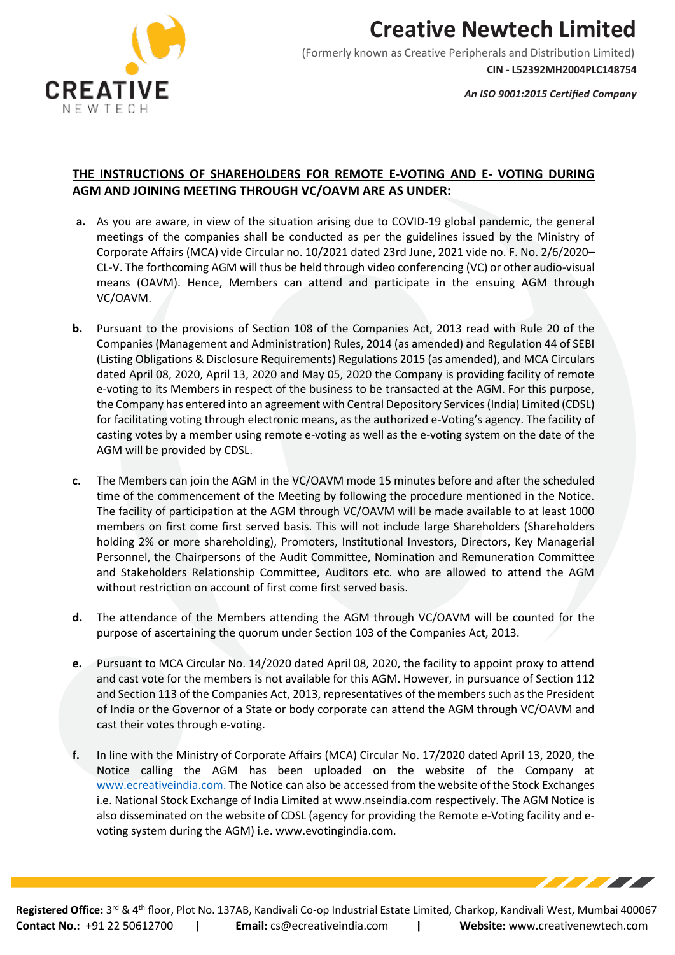

**CIN - L52392MH2004PLC148754**

*An ISO 9001:2015 Certified Company*

### **THE INSTRUCTIONS OF SHAREHOLDERS FOR REMOTE E-VOTING AND E- VOTING DURING AGM AND JOINING MEETING THROUGH VC/OAVM ARE AS UNDER:**

- **a.** As you are aware, in view of the situation arising due to COVID-19 global pandemic, the general meetings of the companies shall be conducted as per the guidelines issued by the Ministry of Corporate Affairs (MCA) vide Circular no. 10/2021 dated 23rd June, 2021 vide no. F. No. 2/6/2020– CL-V. The forthcoming AGM will thus be held through video conferencing (VC) or other audio-visual means (OAVM). Hence, Members can attend and participate in the ensuing AGM through VC/OAVM.
- **b.** Pursuant to the provisions of Section 108 of the Companies Act, 2013 read with Rule 20 of the Companies (Management and Administration) Rules, 2014 (as amended) and Regulation 44 of SEBI (Listing Obligations & Disclosure Requirements) Regulations 2015 (as amended), and MCA Circulars dated April 08, 2020, April 13, 2020 and May 05, 2020 the Company is providing facility of remote e-voting to its Members in respect of the business to be transacted at the AGM. For this purpose, the Company has entered into an agreement with Central Depository Services (India) Limited (CDSL) for facilitating voting through electronic means, as the authorized e-Voting's agency. The facility of casting votes by a member using remote e-voting as well as the e-voting system on the date of the AGM will be provided by CDSL.
- **c.** The Members can join the AGM in the VC/OAVM mode 15 minutes before and after the scheduled time of the commencement of the Meeting by following the procedure mentioned in the Notice. The facility of participation at the AGM through VC/OAVM will be made available to at least 1000 members on first come first served basis. This will not include large Shareholders (Shareholders holding 2% or more shareholding), Promoters, Institutional Investors, Directors, Key Managerial Personnel, the Chairpersons of the Audit Committee, Nomination and Remuneration Committee and Stakeholders Relationship Committee, Auditors etc. who are allowed to attend the AGM without restriction on account of first come first served basis.
- **d.** The attendance of the Members attending the AGM through VC/OAVM will be counted for the purpose of ascertaining the quorum under Section 103 of the Companies Act, 2013.
- **e.** Pursuant to MCA Circular No. 14/2020 dated April 08, 2020, the facility to appoint proxy to attend and cast vote for the members is not available for this AGM. However, in pursuance of Section 112 and Section 113 of the Companies Act, 2013, representatives of the members such as the President of India or the Governor of a State or body corporate can attend the AGM through VC/OAVM and cast their votes through e-voting.
- **f.** In line with the Ministry of Corporate Affairs (MCA) Circular No. 17/2020 dated April 13, 2020, the Notice calling the AGM has been uploaded on the website of the Company at [www.ecreativeindia.com.](http://www.ecreativeindia.com./) The Notice can also be accessed from the website of the Stock Exchanges i.e. National Stock Exchange of India Limited a[t www.nseindia.com](http://www.nseindia.com/) respectively. The AGM Notice is also disseminated on the website of CDSL (agency for providing the Remote e-Voting facility and evoting system during the AGM) i.e. [www.evotingindia.com.](http://www.evotingindia.com/)

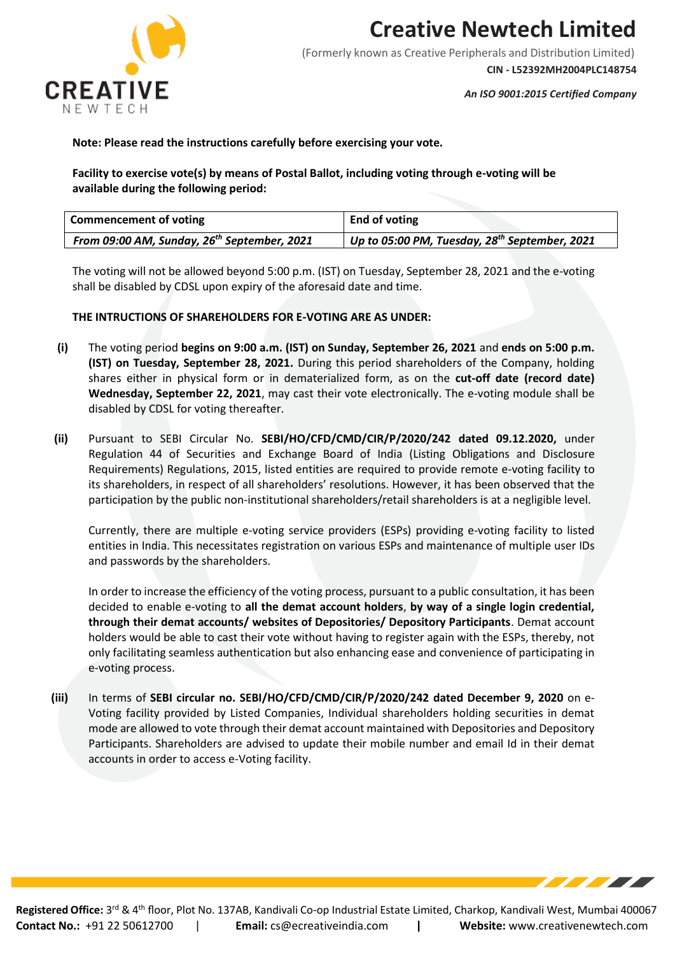

(Formerly known as Creative Peripherals and Distribution Limited)

**CIN - L52392MH2004PLC148754**

*An ISO 9001:2015 Certified Company*

#### **Note: Please read the instructions carefully before exercising your vote.**

**Facility to exercise vote(s) by means of Postal Ballot, including voting through e-voting will be available during the following period:**

| <b>Commencement of voting</b>                           | End of voting                                             |
|---------------------------------------------------------|-----------------------------------------------------------|
| From 09:00 AM, Sunday, 26 <sup>th</sup> September, 2021 | Up to 05:00 PM, Tuesday, 28 <sup>th</sup> September, 2021 |

The voting will not be allowed beyond 5:00 p.m. (IST) on Tuesday, September 28, 2021 and the e-voting shall be disabled by CDSL upon expiry of the aforesaid date and time.

#### **THE INTRUCTIONS OF SHAREHOLDERS FOR E-VOTING ARE AS UNDER:**

- **(i)** The voting period **begins on 9:00 a.m. (IST) on Sunday, September 26, 2021** and **ends on 5:00 p.m. (IST) on Tuesday, September 28, 2021.** During this period shareholders of the Company, holding shares either in physical form or in dematerialized form, as on the **cut-off date (record date) Wednesday, September 22, 2021**, may cast their vote electronically. The e-voting module shall be disabled by CDSL for voting thereafter.
- **(ii)** Pursuant to SEBI Circular No. **SEBI/HO/CFD/CMD/CIR/P/2020/242 dated 09.12.2020,** under Regulation 44 of Securities and Exchange Board of India (Listing Obligations and Disclosure Requirements) Regulations, 2015, listed entities are required to provide remote e-voting facility to its shareholders, in respect of all shareholders' resolutions. However, it has been observed that the participation by the public non-institutional shareholders/retail shareholders is at a negligible level.

Currently, there are multiple e-voting service providers (ESPs) providing e-voting facility to listed entities in India. This necessitates registration on various ESPs and maintenance of multiple user IDs and passwords by the shareholders.

In order to increase the efficiency of the voting process, pursuant to a public consultation, it has been decided to enable e-voting to **all the demat account holders**, **by way of a single login credential, through their demat accounts/ websites of Depositories/ Depository Participants**. Demat account holders would be able to cast their vote without having to register again with the ESPs, thereby, not only facilitating seamless authentication but also enhancing ease and convenience of participating in e-voting process.

**(iii)** In terms of **SEBI circular no. SEBI/HO/CFD/CMD/CIR/P/2020/242 dated December 9, 2020** on e-Voting facility provided by Listed Companies, Individual shareholders holding securities in demat mode are allowed to vote through their demat account maintained with Depositories and Depository Participants. Shareholders are advised to update their mobile number and email Id in their demat accounts in order to access e-Voting facility.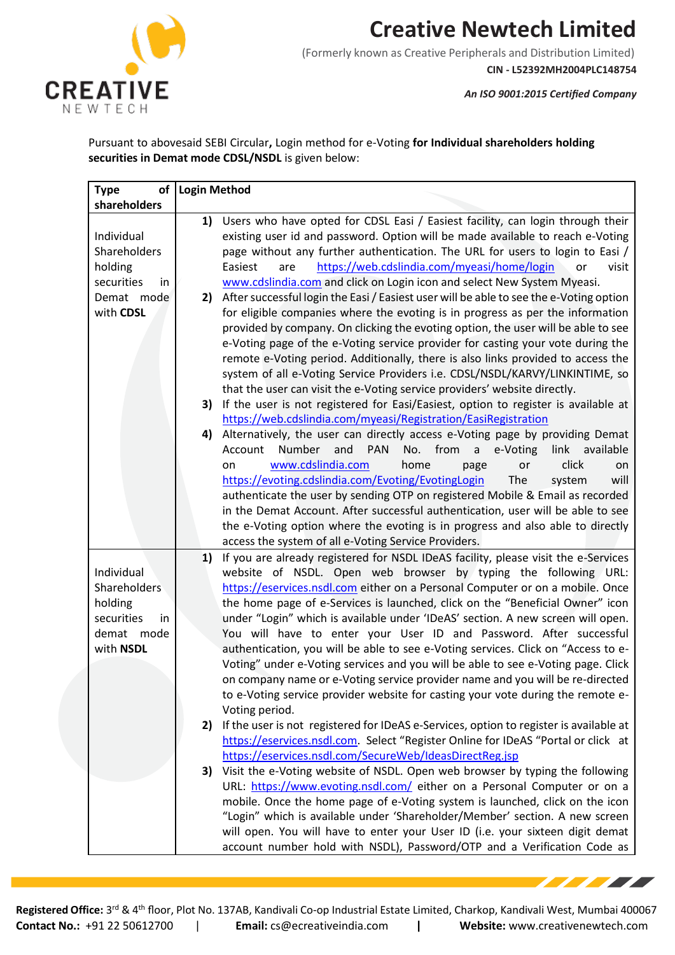

(Formerly known as Creative Peripherals and Distribution Limited) **CIN - L52392MH2004PLC148754**

*An ISO 9001:2015 Certified Company*

**TELEVISION** 

Pursuant to abovesaid SEBI Circular**,** Login method for e-Voting **for Individual shareholders holding securities in Demat mode CDSL/NSDL** is given below:

| of<br><b>Type</b> | <b>Login Method</b> |                                                                                                                                                              |
|-------------------|---------------------|--------------------------------------------------------------------------------------------------------------------------------------------------------------|
| shareholders      |                     |                                                                                                                                                              |
|                   | 1)                  | Users who have opted for CDSL Easi / Easiest facility, can login through their                                                                               |
| Individual        |                     | existing user id and password. Option will be made available to reach e-Voting                                                                               |
| Shareholders      |                     | page without any further authentication. The URL for users to login to Easi /                                                                                |
| holding           |                     | https://web.cdslindia.com/myeasi/home/login<br>Easiest<br>visit<br>are<br>or                                                                                 |
| securities<br>in  |                     | www.cdslindia.com and click on Login icon and select New System Myeasi.                                                                                      |
| Demat mode        | 2)                  | After successful login the Easi / Easiest user will be able to see the e-Voting option                                                                       |
| with CDSL         |                     | for eligible companies where the evoting is in progress as per the information                                                                               |
|                   |                     | provided by company. On clicking the evoting option, the user will be able to see                                                                            |
|                   |                     | e-Voting page of the e-Voting service provider for casting your vote during the                                                                              |
|                   |                     | remote e-Voting period. Additionally, there is also links provided to access the                                                                             |
|                   |                     | system of all e-Voting Service Providers i.e. CDSL/NSDL/KARVY/LINKINTIME, so                                                                                 |
|                   |                     | that the user can visit the e-Voting service providers' website directly.                                                                                    |
|                   | 3)                  | If the user is not registered for Easi/Easiest, option to register is available at                                                                           |
|                   |                     | https://web.cdslindia.com/myeasi/Registration/EasiRegistration                                                                                               |
|                   | 4)                  | Alternatively, the user can directly access e-Voting page by providing Demat                                                                                 |
|                   |                     | Number<br>and<br><b>PAN</b><br>No. from<br>$\mathsf{a}$<br>e-Voting<br>link<br>Account<br>available                                                          |
|                   |                     | www.cdslindia.com<br>home<br>click<br>on<br>page<br>or<br>on                                                                                                 |
|                   |                     | https://evoting.cdslindia.com/Evoting/EvotingLogin<br>The<br>system<br>will<br>authenticate the user by sending OTP on registered Mobile & Email as recorded |
|                   |                     | in the Demat Account. After successful authentication, user will be able to see                                                                              |
|                   |                     | the e-Voting option where the evoting is in progress and also able to directly                                                                               |
|                   |                     | access the system of all e-Voting Service Providers.                                                                                                         |
|                   | 1)                  | If you are already registered for NSDL IDeAS facility, please visit the e-Services                                                                           |
| Individual        |                     | website of NSDL. Open web browser by typing the following URL:                                                                                               |
| Shareholders      |                     | https://eservices.nsdl.com either on a Personal Computer or on a mobile. Once                                                                                |
| holding           |                     | the home page of e-Services is launched, click on the "Beneficial Owner" icon                                                                                |
| securities<br>in  |                     | under "Login" which is available under 'IDeAS' section. A new screen will open.                                                                              |
| demat mode        |                     | You will have to enter your User ID and Password. After successful                                                                                           |
| with NSDL         |                     | authentication, you will be able to see e-Voting services. Click on "Access to e-                                                                            |
|                   |                     | Voting" under e-Voting services and you will be able to see e-Voting page. Click                                                                             |
|                   |                     | on company name or e-Voting service provider name and you will be re-directed                                                                                |
|                   |                     | to e-Voting service provider website for casting your vote during the remote e-                                                                              |
|                   |                     | Voting period.                                                                                                                                               |
|                   | 2)                  | If the user is not registered for IDeAS e-Services, option to register is available at                                                                       |
|                   |                     | https://eservices.nsdl.com. Select "Register Online for IDeAS "Portal or click at                                                                            |
|                   |                     | https://eservices.nsdl.com/SecureWeb/IdeasDirectReg.jsp                                                                                                      |
|                   | 3)                  | Visit the e-Voting website of NSDL. Open web browser by typing the following                                                                                 |
|                   |                     | URL: https://www.evoting.nsdl.com/ either on a Personal Computer or on a                                                                                     |
|                   |                     | mobile. Once the home page of e-Voting system is launched, click on the icon                                                                                 |
|                   |                     | "Login" which is available under 'Shareholder/Member' section. A new screen                                                                                  |
|                   |                     | will open. You will have to enter your User ID (i.e. your sixteen digit demat                                                                                |
|                   |                     | account number hold with NSDL), Password/OTP and a Verification Code as                                                                                      |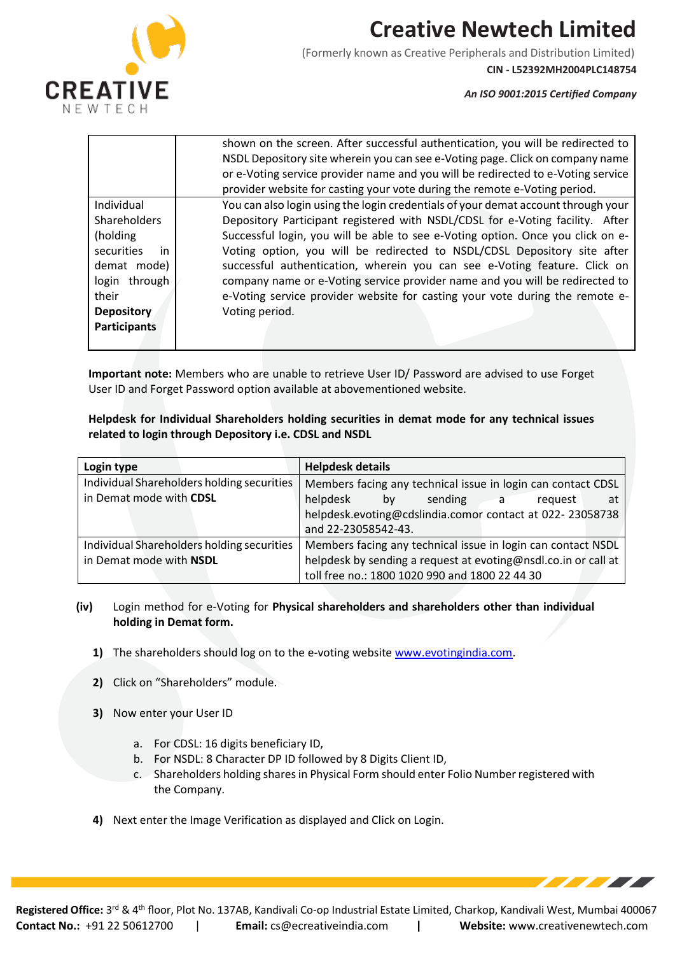

(Formerly known as Creative Peripherals and Distribution Limited)

**CIN - L52392MH2004PLC148754**

a de la característica de la característica de la característica de la característica de la característica de

*An ISO 9001:2015 Certified Company*

|                     | shown on the screen. After successful authentication, you will be redirected to   |
|---------------------|-----------------------------------------------------------------------------------|
|                     | NSDL Depository site wherein you can see e-Voting page. Click on company name     |
|                     | or e-Voting service provider name and you will be redirected to e-Voting service  |
|                     | provider website for casting your vote during the remote e-Voting period.         |
| Individual          | You can also login using the login credentials of your demat account through your |
| <b>Shareholders</b> | Depository Participant registered with NSDL/CDSL for e-Voting facility. After     |
| (holding)           | Successful login, you will be able to see e-Voting option. Once you click on e-   |
| securities<br>in    | Voting option, you will be redirected to NSDL/CDSL Depository site after          |
| demat mode)         | successful authentication, wherein you can see e-Voting feature. Click on         |
| login through       | company name or e-Voting service provider name and you will be redirected to      |
| their               | e-Voting service provider website for casting your vote during the remote e-      |
| <b>Depository</b>   | Voting period.                                                                    |
| <b>Participants</b> |                                                                                   |
|                     |                                                                                   |

**Important note:** Members who are unable to retrieve User ID/ Password are advised to use Forget User ID and Forget Password option available at abovementioned website.

**Helpdesk for Individual Shareholders holding securities in demat mode for any technical issues related to login through Depository i.e. CDSL and NSDL**

| Login type                                 | <b>Helpdesk details</b>                                        |
|--------------------------------------------|----------------------------------------------------------------|
| Individual Shareholders holding securities | Members facing any technical issue in login can contact CDSL   |
| in Demat mode with CDSL                    | helpdesk<br>sending a<br>bv<br>at<br>request                   |
|                                            | helpdesk.evoting@cdslindia.comor contact at 022-23058738       |
|                                            | and 22-23058542-43.                                            |
| Individual Shareholders holding securities | Members facing any technical issue in login can contact NSDL   |
| in Demat mode with NSDL                    | helpdesk by sending a request at evoting@nsdl.co.in or call at |
|                                            | toll free no.: 1800 1020 990 and 1800 22 44 30                 |

- **(iv)** Login method for e-Voting for **Physical shareholders and shareholders other than individual holding in Demat form.**
	- **1)** The shareholders should log on to the e-voting website [www.evotingindia.com.](http://www.evotingindia.com/)
	- **2)** Click on "Shareholders" module.
	- **3)** Now enter your User ID
		- a. For CDSL: 16 digits beneficiary ID,
		- b. For NSDL: 8 Character DP ID followed by 8 Digits Client ID,
		- c. Shareholders holding shares in Physical Form should enter Folio Number registered with the Company.
	- **4)** Next enter the Image Verification as displayed and Click on Login.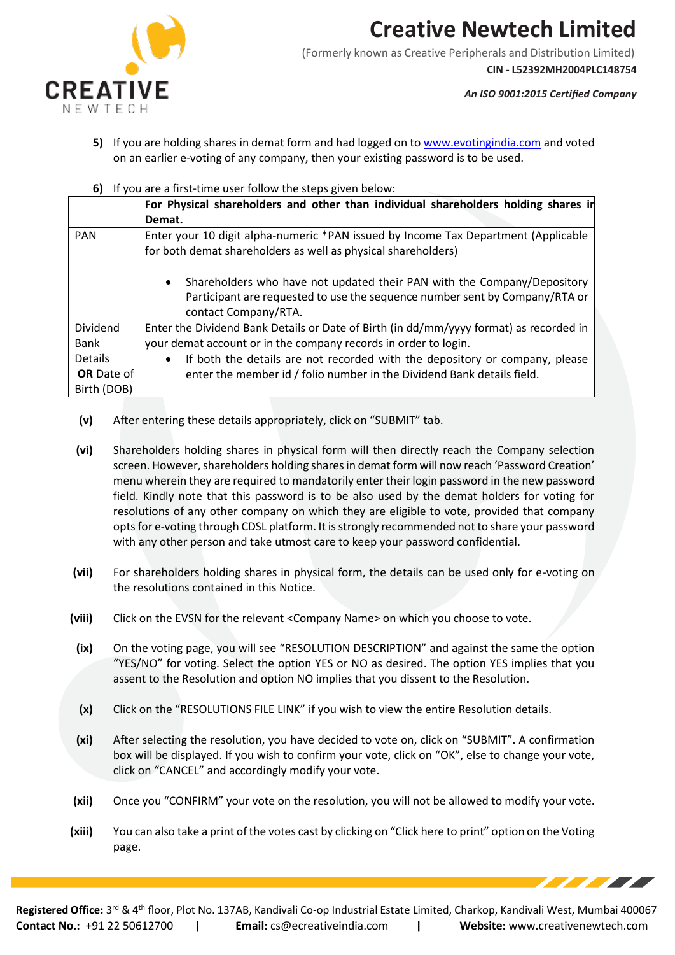

(Formerly known as Creative Peripherals and Distribution Limited) **CIN - L52392MH2004PLC148754**

*An ISO 9001:2015 Certified Company*

- **5)** If you are holding shares in demat form and had logged on t[o www.evotingindia.com](http://www.evotingindia.com/) and voted on an earlier e-voting of any company, then your existing password is to be used.
- **6)** If you are a first-time user follow the steps given below:

|                   | For Physical shareholders and other than individual shareholders holding shares in                                                                                                          |  |  |
|-------------------|---------------------------------------------------------------------------------------------------------------------------------------------------------------------------------------------|--|--|
|                   | Demat.                                                                                                                                                                                      |  |  |
| <b>PAN</b>        | Enter your 10 digit alpha-numeric *PAN issued by Income Tax Department (Applicable                                                                                                          |  |  |
|                   | for both demat shareholders as well as physical shareholders)                                                                                                                               |  |  |
|                   | Shareholders who have not updated their PAN with the Company/Depository<br>$\bullet$<br>Participant are requested to use the sequence number sent by Company/RTA or<br>contact Company/RTA. |  |  |
| <b>Dividend</b>   | Enter the Dividend Bank Details or Date of Birth (in dd/mm/yyyy format) as recorded in                                                                                                      |  |  |
| Bank              | your demat account or in the company records in order to login.                                                                                                                             |  |  |
| <b>Details</b>    | If both the details are not recorded with the depository or company, please<br>$\bullet$                                                                                                    |  |  |
| <b>OR</b> Date of | enter the member id / folio number in the Dividend Bank details field.                                                                                                                      |  |  |
| Birth (DOB)       |                                                                                                                                                                                             |  |  |

- **(v)** After entering these details appropriately, click on "SUBMIT" tab.
- **(vi)** Shareholders holding shares in physical form will then directly reach the Company selection screen. However, shareholders holding shares in demat form will now reach 'Password Creation' menu wherein they are required to mandatorily enter their login password in the new password field. Kindly note that this password is to be also used by the demat holders for voting for resolutions of any other company on which they are eligible to vote, provided that company opts for e-voting through CDSL platform. It is strongly recommended not to share your password with any other person and take utmost care to keep your password confidential.
- **(vii)** For shareholders holding shares in physical form, the details can be used only for e-voting on the resolutions contained in this Notice.
- **(viii)** Click on the EVSN for the relevant <Company Name> on which you choose to vote.
- **(ix)** On the voting page, you will see "RESOLUTION DESCRIPTION" and against the same the option "YES/NO" for voting. Select the option YES or NO as desired. The option YES implies that you assent to the Resolution and option NO implies that you dissent to the Resolution.
- **(x)** Click on the "RESOLUTIONS FILE LINK" if you wish to view the entire Resolution details.
- **(xi)** After selecting the resolution, you have decided to vote on, click on "SUBMIT". A confirmation box will be displayed. If you wish to confirm your vote, click on "OK", else to change your vote, click on "CANCEL" and accordingly modify your vote.
- **(xii)** Once you "CONFIRM" your vote on the resolution, you will not be allowed to modify your vote.
- **(xiii)** You can also take a print of the votes cast by clicking on "Click here to print" option on the Voting page.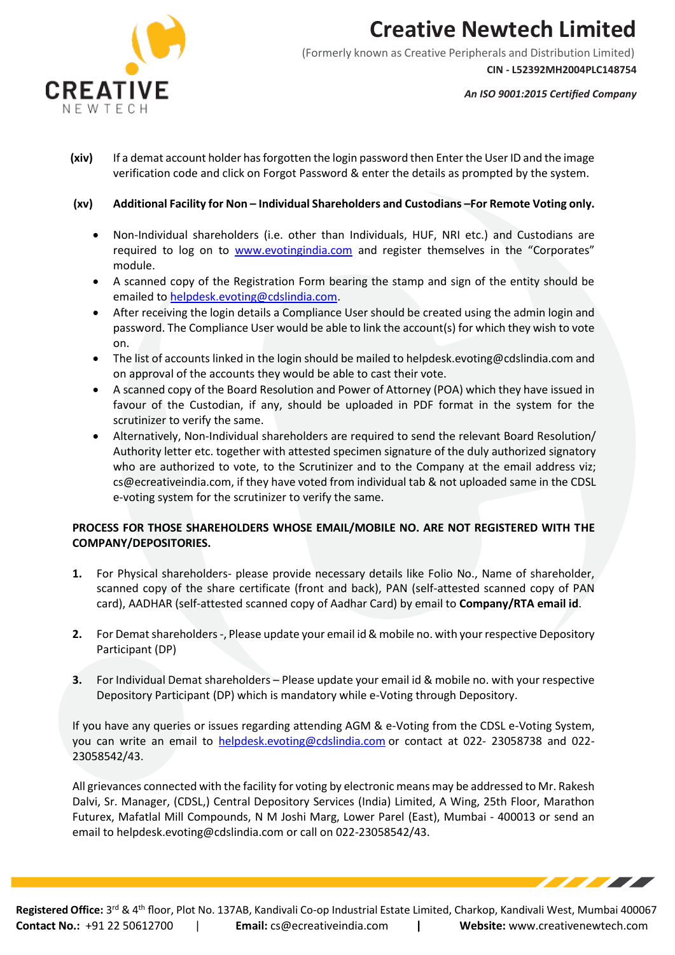

(Formerly known as Creative Peripherals and Distribution Limited) **CIN - L52392MH2004PLC148754**

*An ISO 9001:2015 Certified Company*

- **(xiv)** If a demat account holder has forgotten the login password then Enter the User ID and the image verification code and click on Forgot Password & enter the details as prompted by the system.
- **(xv) Additional Facility for Non – Individual Shareholders and Custodians –For Remote Voting only.**
	- Non-Individual shareholders (i.e. other than Individuals, HUF, NRI etc.) and Custodians are required to log on to [www.evotingindia.com](http://www.evotingindia.com/) and register themselves in the "Corporates" module.
	- A scanned copy of the Registration Form bearing the stamp and sign of the entity should be emailed to [helpdesk.evoting@cdslindia.com.](mailto:helpdesk.evoting@cdslindia.com)
	- After receiving the login details a Compliance User should be created using the admin login and password. The Compliance User would be able to link the account(s) for which they wish to vote on.
	- The list of accounts linked in the login should be mailed to helpdesk.evoting@cdslindia.com and on approval of the accounts they would be able to cast their vote.
	- A scanned copy of the Board Resolution and Power of Attorney (POA) which they have issued in favour of the Custodian, if any, should be uploaded in PDF format in the system for the scrutinizer to verify the same.
	- Alternatively, Non-Individual shareholders are required to send the relevant Board Resolution/ Authority letter etc. together with attested specimen signature of the duly authorized signatory who are authorized to vote, to the Scrutinizer and to the Company at the email address viz; cs@ecreativeindia.com, if they have voted from individual tab & not uploaded same in the CDSL e-voting system for the scrutinizer to verify the same.

### **PROCESS FOR THOSE SHAREHOLDERS WHOSE EMAIL/MOBILE NO. ARE NOT REGISTERED WITH THE COMPANY/DEPOSITORIES.**

- **1.** For Physical shareholders- please provide necessary details like Folio No., Name of shareholder, scanned copy of the share certificate (front and back), PAN (self-attested scanned copy of PAN card), AADHAR (self-attested scanned copy of Aadhar Card) by email to **Company/RTA email id**.
- **2.** For Demat shareholders -, Please update your email id & mobile no. with your respective Depository Participant (DP)
- **3.** For Individual Demat shareholders Please update your email id & mobile no. with your respective Depository Participant (DP) which is mandatory while e-Voting through Depository.

If you have any queries or issues regarding attending AGM & e-Voting from the CDSL e-Voting System, you can write an email to [helpdesk.evoting@cdslindia.com](mailto:helpdesk.evoting@cdslindia.com) or contact at 022- 23058738 and 022- 23058542/43.

All grievances connected with the facility for voting by electronic means may be addressed to Mr. Rakesh Dalvi, Sr. Manager, (CDSL,) Central Depository Services (India) Limited, A Wing, 25th Floor, Marathon Futurex, Mafatlal Mill Compounds, N M Joshi Marg, Lower Parel (East), Mumbai - 400013 or send an email to [helpdesk.evoting@cdslindia.com](mailto:helpdesk.evoting@cdslindia.com) or call on 022-23058542/43.

**Contact No.:** +91 22 50612700 | **Email:** [cs@ecreativeindia.com](mailto:cs@ecreativeindia.com) **| Website:** www.creativenewtech.com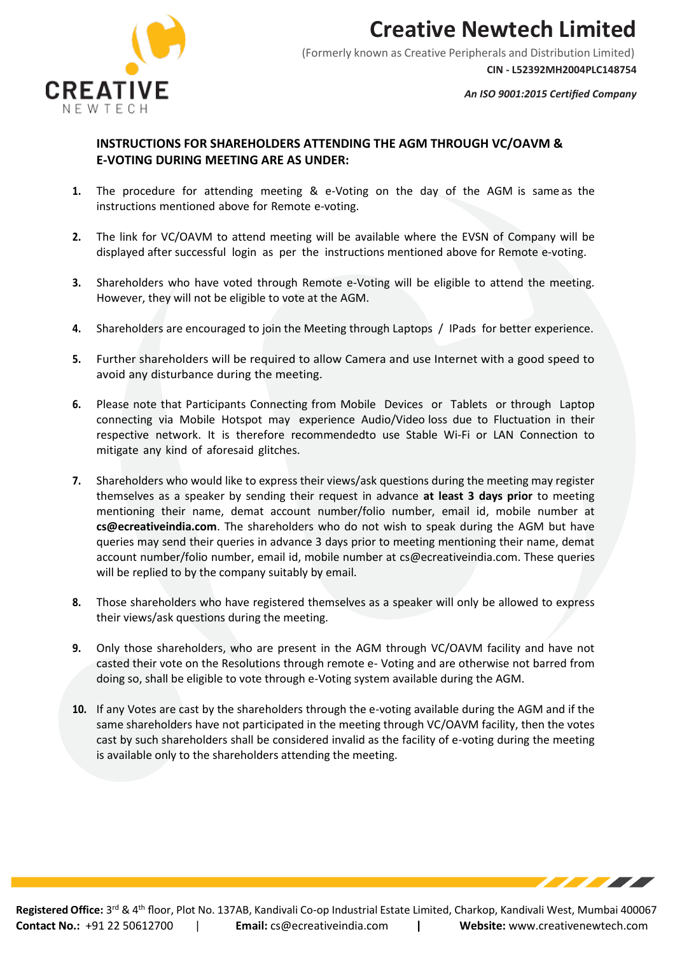

(Formerly known as Creative Peripherals and Distribution Limited) **CIN - L52392MH2004PLC148754**

*An ISO 9001:2015 Certified Company*

### **INSTRUCTIONS FOR SHAREHOLDERS ATTENDING THE AGM THROUGH VC/OAVM & E-VOTING DURING MEETING ARE AS UNDER:**

- **1.** The procedure for attending meeting & e-Voting on the day of the AGM is same as the instructions mentioned above for Remote e-voting.
- **2.** The link for VC/OAVM to attend meeting will be available where the EVSN of Company will be displayed after successful login as per the instructions mentioned above for Remote e-voting.
- **3.** Shareholders who have voted through Remote e-Voting will be eligible to attend the meeting. However, they will not be eligible to vote at the AGM.
- **4.** Shareholders are encouraged to join the Meeting through Laptops / IPads for better experience.
- **5.** Further shareholders will be required to allow Camera and use Internet with a good speed to avoid any disturbance during the meeting.
- **6.** Please note that Participants Connecting from Mobile Devices or Tablets or through Laptop connecting via Mobile Hotspot may experience Audio/Video loss due to Fluctuation in their respective network. It is therefore recommendedto use Stable Wi-Fi or LAN Connection to mitigate any kind of aforesaid glitches.
- **7.** Shareholders who would like to express their views/ask questions during the meeting may register themselves as a speaker by sending their request in advance **at least 3 days prior** to meeting mentioning their name, demat account number/folio number, email id, mobile number at **[cs@ecreativeindia.com](mailto:cs@ecreativeindia.com)**. The shareholders who do not wish to speak during the AGM but have queries may send their queries in advance 3 days prior to meeting mentioning their name, demat account number/folio number, email id, mobile number at [cs@ecreativeindia.com.](mailto:cs@ecreativeindia.com) These queries will be replied to by the company suitably by email.
- **8.** Those shareholders who have registered themselves as a speaker will only be allowed to express their views/ask questions during the meeting.
- **9.** Only those shareholders, who are present in the AGM through VC/OAVM facility and have not casted their vote on the Resolutions through remote e- Voting and are otherwise not barred from doing so, shall be eligible to vote through e-Voting system available during the AGM.
- **10.** If any Votes are cast by the shareholders through the e-voting available during the AGM and if the same shareholders have not participated in the meeting through VC/OAVM facility, then the votes cast by such shareholders shall be considered invalid as the facility of e-voting during the meeting is available only to the shareholders attending the meeting.